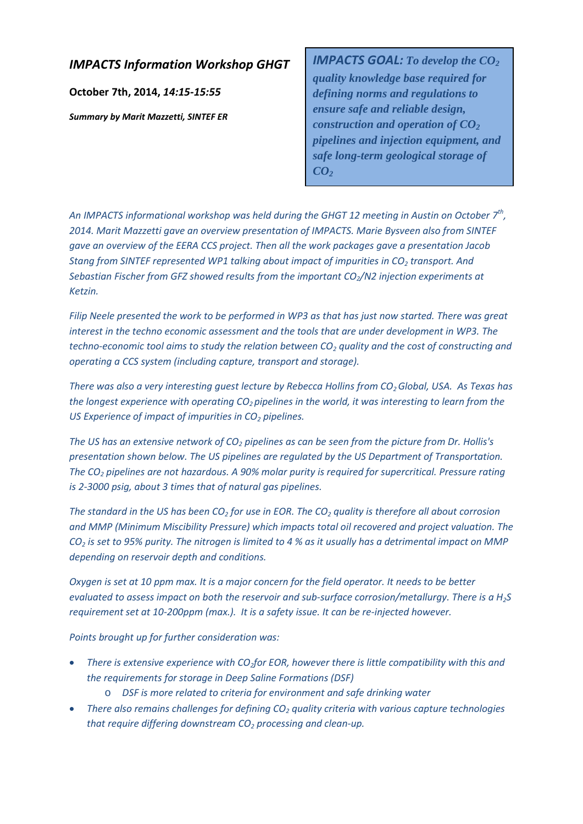## *IMPACTS Information Workshop GHGT*

**October 7th, 2014,** *14:15-15:55*

*Summary by Marit Mazzetti, SINTEF ER*

*IMPACTS GOAL: To develop the CO<sub>2</sub> quality knowledge base required for defining norms and regulations to ensure safe and reliable design, construction and operation of CO<sub>2</sub> pipelines and injection equipment, and safe long-term geological storage of CO2*

*An IMPACTS informational workshop was held during the GHGT 12 meeting in Austin on October 7th, 2014. Marit Mazzetti gave an overview presentation of IMPACTS. Marie Bysveen also from SINTEF gave an overview of the EERA CCS project. Then all the work packages gave a presentation Jacob Stang from SINTEF represented WP1 talking about impact of impurities in CO<sub>2</sub> transport. And Sebastian Fischer from GFZ showed results from the important CO<sub>2</sub>/N2 injection experiments at Ketzin.*

*Filip Neele presented the work to be performed in WP3 as that has just now started. There was great interest in the techno economic assessment and the tools that are under development in WP3. The techno-economic tool aims to study the relation between CO2 quality and the cost of constructing and operating a CCS system (including capture, transport and storage).* 

*There was also a very interesting quest lecture by Rebecca Hollins from CO<sub>2</sub> Global, USA. As Texas has the longest experience with operating CO<sub>2</sub> pipelines in the world, it was interesting to learn from the US Experience of impact of impurities in CO<sub>2</sub> pipelines.* 

*The US has an extensive network of CO<sub>2</sub> pipelines as can be seen from the picture from Dr. Hollis's presentation shown below. The US pipelines are regulated by the US Department of Transportation. The CO2 pipelines are not hazardous. A 90% molar purity is required for supercritical. Pressure rating is 2-3000 psig, about 3 times that of natural gas pipelines.* 

*The standard in the US has been CO<sub>2</sub> for use in EOR. The CO<sub>2</sub> quality is therefore all about corrosion and MMP (Minimum Miscibility Pressure) which impacts total oil recovered and project valuation. The CO2 is set to 95% purity. The nitrogen is limited to 4 % as it usually has a detrimental impact on MMP depending on reservoir depth and conditions.*

*Oxygen is set at 10 ppm max. It is a major concern for the field operator. It needs to be better evaluated to assess impact on both the reservoir and sub-surface corrosion/metallurgy. There is a H2S requirement set at 10-200ppm (max.). It is a safety issue. It can be re-injected however.*

*Points brought up for further consideration was:*

- *There is extensive experience with CO2for EOR, however there is little compatibility with this and the requirements for storage in Deep Saline Formations (DSF)*
	- o *DSF is more related to criteria for environment and safe drinking water*
- *There also remains challenges for defining CO2 quality criteria with various capture technologies that require differing downstream CO<sub>2</sub> processing and clean-up.*